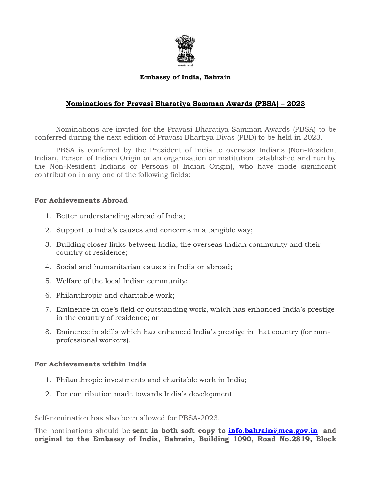

## **Embassy of India, Bahrain**

## **Nominations for Pravasi Bharatiya Samman Awards (PBSA) – 2023**

Nominations are invited for the Pravasi Bharatiya Samman Awards (PBSA) to be conferred during the next edition of Pravasi Bhartiya Divas (PBD) to be held in 2023.

PBSA is conferred by the President of India to overseas Indians (Non-Resident Indian, Person of Indian Origin or an organization or institution established and run by the Non-Resident Indians or Persons of Indian Origin), who have made significant contribution in any one of the following fields:

## **For Achievements Abroad**

- 1. Better understanding abroad of India;
- 2. Support to India's causes and concerns in a tangible way;
- 3. Building closer links between India, the overseas Indian community and their country of residence;
- 4. Social and humanitarian causes in India or abroad;
- 5. Welfare of the local Indian community;
- 6. Philanthropic and charitable work;
- 7. Eminence in one's field or outstanding work, which has enhanced India's prestige in the country of residence; or
- 8. Eminence in skills which has enhanced India's prestige in that country (for nonprofessional workers).

## **For Achievements within India**

- 1. Philanthropic investments and charitable work in India;
- 2. For contribution made towards India's development.

Self-nomination has also been allowed for PBSA-2023.

The nominations should be **sent in both soft copy to [info.bahrain@mea.gov.in](mailto:info.bahrain@mea.gov.in) and original to the Embassy of India, Bahrain, Building 1090, Road No.2819, Block**